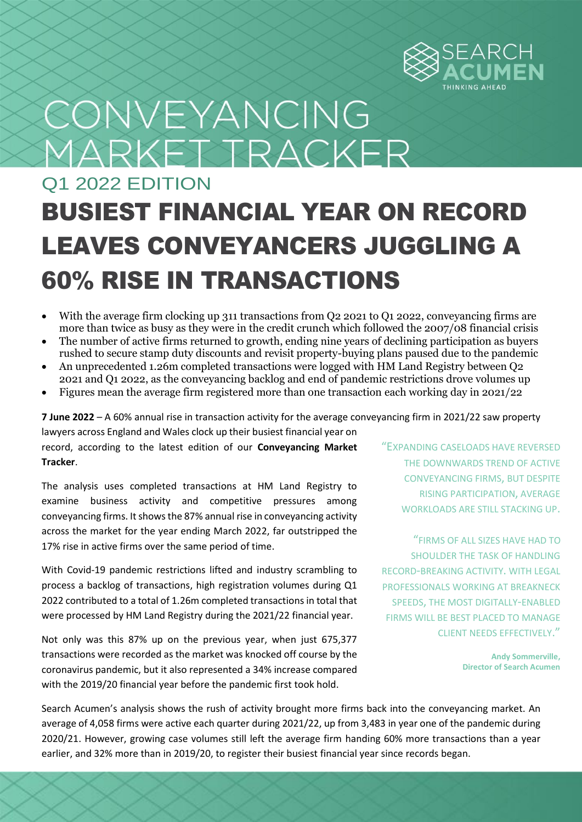

# CONVEYANCING MARKET TRACKER

## Q1 2022 EDITION BUSIEST FINANCIAL YEAR ON RECORD LEAVES CONVEYANCERS JUGGLING A 60% RISE IN TRANSACTIONS

- With the average firm clocking up 311 transactions from Q2 2021 to Q1 2022, conveyancing firms are more than twice as busy as they were in the credit crunch which followed the 2007/08 financial crisis
- The number of active firms returned to growth, ending nine years of declining participation as buyers rushed to secure stamp duty discounts and revisit property-buying plans paused due to the pandemic
- An unprecedented 1.26m completed transactions were logged with HM Land Registry between Q2 2021 and Q1 2022, as the conveyancing backlog and end of pandemic restrictions drove volumes up
- Figures mean the average firm registered more than one transaction each working day in 2021/22

**7 June 2022** – A 60% annual rise in transaction activity for the average conveyancing firm in 2021/22 saw property

lawyers across England and Wales clock up their busiest financial year on record, according to the latest edition of our **Conveyancing Market Tracker**.

The analysis uses completed transactions at HM Land Registry to examine business activity and competitive pressures among conveyancing firms. It shows the 87% annual rise in conveyancing activity across the market for the year ending March 2022, far outstripped the 17% rise in active firms over the same period of time.

With Covid-19 pandemic restrictions lifted and industry scrambling to process a backlog of transactions, high registration volumes during Q1 2022 contributed to a total of 1.26m completed transactions in total that were processed by HM Land Registry during the 2021/22 financial year.

Not only was this 87% up on the previous year, when just 675,377 transactions were recorded as the market was knocked off course by the coronavirus pandemic, but it also represented a 34% increase compared with the 2019/20 financial year before the pandemic first took hold.

"EXPANDING CASELOADS HAVE REVERSED THE DOWNWARDS TREND OF ACTIVE CONVEYANCING FIRMS, BUT DESPITE RISING PARTICIPATION, AVERAGE WORKLOADS ARE STILL STACKING UP.

"FIRMS OF ALL SIZES HAVE HAD TO SHOULDER THE TASK OF HANDLING RECORD-BREAKING ACTIVITY. WITH LEGAL PROFESSIONALS WORKING AT BREAKNECK SPEEDS, THE MOST DIGITALLY-ENABLED FIRMS WILL BE BEST PLACED TO MANAGE CLIENT NEEDS EFFECTIVELY."

> **Andy Sommerville, Director of Search Acumen**

Search Acumen's analysis shows the rush of activity brought more firms back into the conveyancing market. An average of 4,058 firms were active each quarter during 2021/22, up from 3,483 in year one of the pandemic during 2020/21. However, growing case volumes still left the average firm handing 60% more transactions than a year earlier, and 32% more than in 2019/20, to register their busiest financial year since records began.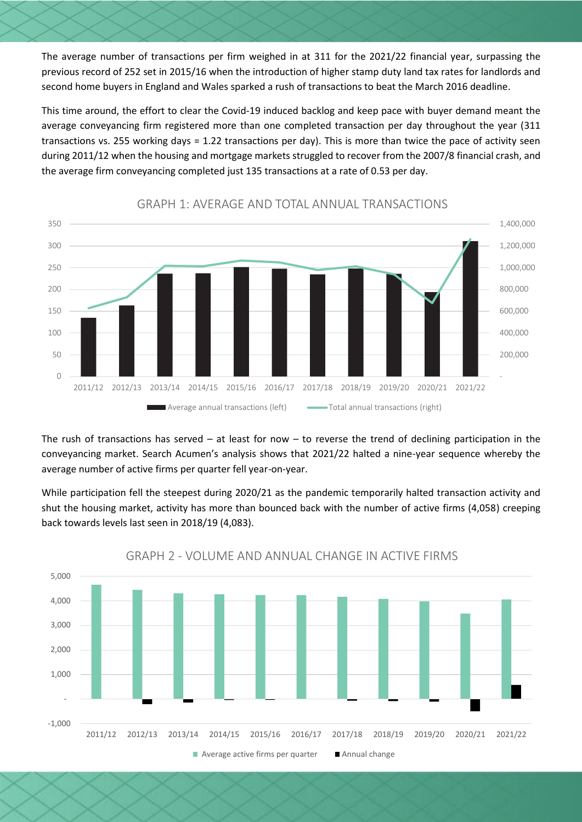The average number of transactions per firm weighed in at 311 for the 2021/22 financial year, surpassing the previous record of 252 set in 2015/16 when the introduction of higher stamp duty land tax rates for landlords and second home buyers in England and Wales sparked a rush of transactions to beat the March 2016 deadline.

This time around, the effort to clear the Covid-19 induced backlog and keep pace with buyer demand meant the average conveyancing firm registered more than one completed transaction per day throughout the year (311 transactions vs. 255 working days = 1.22 transactions per day). This is more than twice the pace of activity seen during 2011/12 when the housing and mortgage markets struggled to recover from the 2007/8 financial crash, and the average firm conveyancing completed just 135 transactions at a rate of 0.53 per day.



### GRAPH 1: AVERAGE AND TOTAL ANNUAL TRANSACTIONS

The rush of transactions has served – at least for now – to reverse the trend of declining participation in the conveyancing market. Search Acumen's analysis shows that 2021/22 halted a nine-year sequence whereby the average number of active firms per quarter fell year-on-year.

While participation fell the steepest during 2020/21 as the pandemic temporarily halted transaction activity and shut the housing market, activity has more than bounced back with the number of active firms (4,058) creeping back towards levels last seen in 2018/19 (4,083).

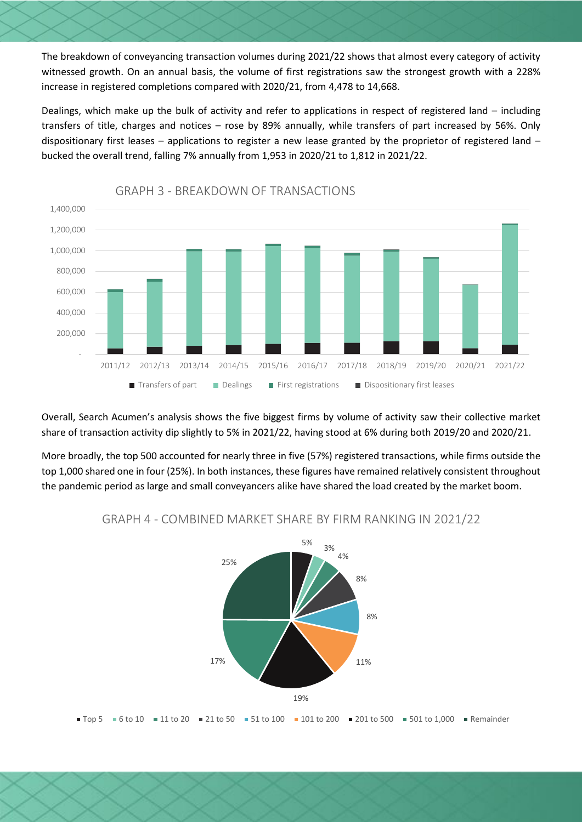The breakdown of conveyancing transaction volumes during 2021/22 shows that almost every category of activity witnessed growth. On an annual basis, the volume of first registrations saw the strongest growth with a 228% increase in registered completions compared with 2020/21, from 4,478 to 14,668.

Dealings, which make up the bulk of activity and refer to applications in respect of registered land – including transfers of title, charges and notices – rose by 89% annually, while transfers of part increased by 56%. Only dispositionary first leases – applications to register a new lease granted by the proprietor of registered land – bucked the overall trend, falling 7% annually from 1,953 in 2020/21 to 1,812 in 2021/22.



GRAPH 3 - BREAKDOWN OF TRANSACTIONS

Overall, Search Acumen's analysis shows the five biggest firms by volume of activity saw their collective market share of transaction activity dip slightly to 5% in 2021/22, having stood at 6% during both 2019/20 and 2020/21.

More broadly, the top 500 accounted for nearly three in five (57%) registered transactions, while firms outside the top 1,000 shared one in four (25%). In both instances, these figures have remained relatively consistent throughout the pandemic period as large and small conveyancers alike have shared the load created by the market boom.



### GRAPH 4 - COMBINED MARKET SHARE BY FIRM RANKING IN 2021/22